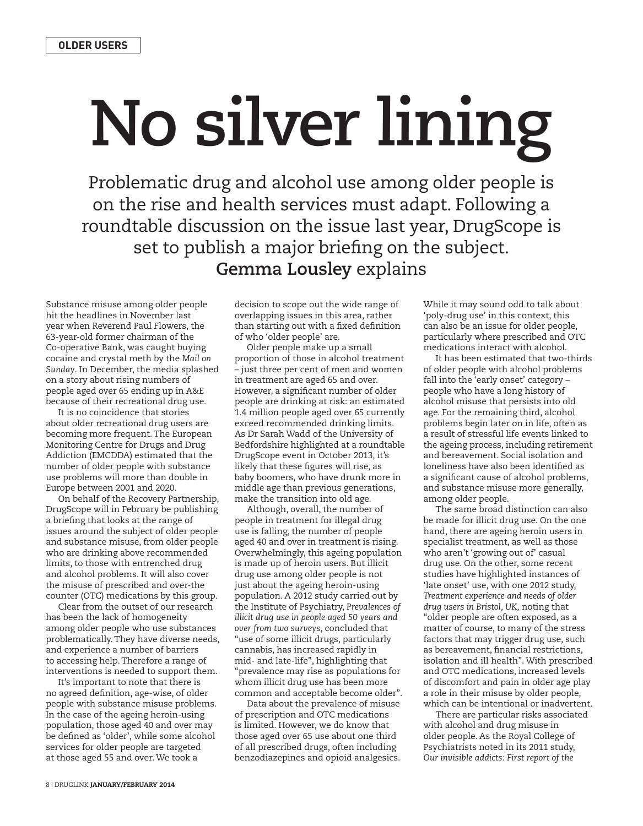## **No silver lining**

Problematic drug and alcohol use among older people is on the rise and health services must adapt. Following a roundtable discussion on the issue last year, DrugScope is set to publish a major briefing on the subject. **Gemma Lousley** explains

Substance misuse among older people hit the headlines in November last year when Reverend Paul Flowers, the 63-year-old former chairman of the Co-operative Bank, was caught buying cocaine and crystal meth by the *Mail on Sunday*. In December, the media splashed on a story about rising numbers of people aged over 65 ending up in A&E because of their recreational drug use.

It is no coincidence that stories about older recreational drug users are becoming more frequent. The European Monitoring Centre for Drugs and Drug Addiction (EMCDDA) estimated that the number of older people with substance use problems will more than double in Europe between 2001 and 2020.

On behalf of the Recovery Partnership, DrugScope will in February be publishing a briefing that looks at the range of issues around the subject of older people and substance misuse, from older people who are drinking above recommended limits, to those with entrenched drug and alcohol problems. It will also cover the misuse of prescribed and over-the counter (OTC) medications by this group.

Clear from the outset of our research has been the lack of homogeneity among older people who use substances problematically. They have diverse needs, and experience a number of barriers to accessing help. Therefore a range of interventions is needed to support them.

It's important to note that there is no agreed definition, age-wise, of older people with substance misuse problems. In the case of the ageing heroin-using population, those aged 40 and over may be defined as 'older', while some alcohol services for older people are targeted at those aged 55 and over. We took a

decision to scope out the wide range of overlapping issues in this area, rather than starting out with a fixed definition of who 'older people' are.

Older people make up a small proportion of those in alcohol treatment – just three per cent of men and women in treatment are aged 65 and over. However, a significant number of older people are drinking at risk: an estimated 1.4 million people aged over 65 currently exceed recommended drinking limits. As Dr Sarah Wadd of the University of Bedfordshire highlighted at a roundtable DrugScope event in October 2013, it's likely that these figures will rise, as baby boomers, who have drunk more in middle age than previous generations, make the transition into old age.

Although, overall, the number of people in treatment for illegal drug use is falling, the number of people aged 40 and over in treatment is rising. Overwhelmingly, this ageing population is made up of heroin users. But illicit drug use among older people is not just about the ageing heroin-using population. A 2012 study carried out by the Institute of Psychiatry, *Prevalences of illicit drug use in people aged 50 years and over from two surveys*, concluded that "use of some illicit drugs, particularly cannabis, has increased rapidly in mid- and late-life", highlighting that "prevalence may rise as populations for whom illicit drug use has been more common and acceptable become older".

Data about the prevalence of misuse of prescription and OTC medications is limited. However, we do know that those aged over 65 use about one third of all prescribed drugs, often including benzodiazepines and opioid analgesics.

While it may sound odd to talk about 'poly-drug use' in this context, this can also be an issue for older people, particularly where prescribed and OTC medications interact with alcohol.

It has been estimated that two-thirds of older people with alcohol problems fall into the 'early onset' category – people who have a long history of alcohol misuse that persists into old age. For the remaining third, alcohol problems begin later on in life, often as a result of stressful life events linked to the ageing process, including retirement and bereavement. Social isolation and loneliness have also been identified as a significant cause of alcohol problems, and substance misuse more generally, among older people.

The same broad distinction can also be made for illicit drug use. On the one hand, there are ageing heroin users in specialist treatment, as well as those who aren't 'growing out of' casual drug use. On the other, some recent studies have highlighted instances of 'late onset' use, with one 2012 study, *Treatment experience and needs of older drug users in Bristol, UK,* noting that "older people are often exposed, as a matter of course, to many of the stress factors that may trigger drug use, such as bereavement, financial restrictions, isolation and ill health". With prescribed and OTC medications, increased levels of discomfort and pain in older age play a role in their misuse by older people, which can be intentional or inadvertent.

There are particular risks associated with alcohol and drug misuse in older people. As the Royal College of Psychiatrists noted in its 2011 study, *Our invisible addicts: First report of the*